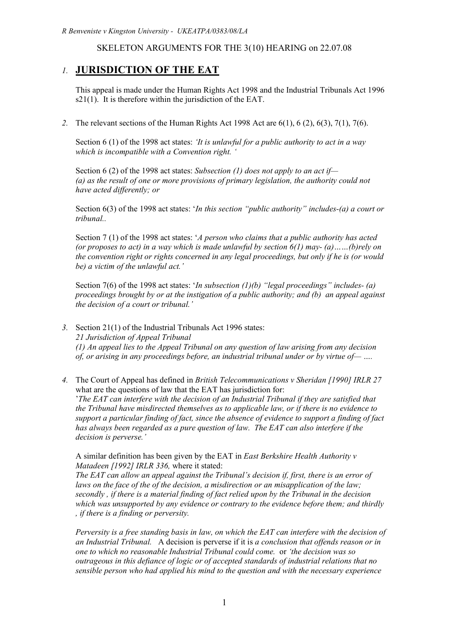# SKELETON ARGUMENTS FOR THE 3(10) HEARING on 22.07.08

# *1.* **JURISDICTION OF THE EAT**

This appeal is made under the Human Rights Act 1998 and the Industrial Tribunals Act 1996  $s21(1)$ . It is therefore within the jurisdiction of the EAT.

*2.* The relevant sections of the Human Rights Act 1998 Act are 6(1), 6 (2), 6(3), 7(1), 7(6).

Section 6 (1) of the 1998 act states: *'It is unlawful for a public authority to act in a way which is incompatible with a Convention right. '*

Section 6 (2) of the 1998 act states: *Subsection (1) does not apply to an act if— (a) as the result of one or more provisions of primary legislation, the authority could not have acted differently; or*

Section 6(3) of the 1998 act states: '*In this section "public authority" includes-(a) a court or tribunal..*

Section 7 (1) of the 1998 act states: '*A person who claims that a public authority has acted (or proposes to act) in a way which is made unlawful by section 6(1) may- (a)……(b)rely on the convention right or rights concerned in any legal proceedings, but only if he is (or would be) a victim of the unlawful act.'*

Section 7(6) of the 1998 act states: '*In subsection (1)(b) "legal proceedings" includes- (a) proceedings brought by or at the instigation of a public authority; and (b) an appeal against the decision of a court or tribunal.'*

*3.* Section 21(1) of the Industrial Tribunals Act 1996 states: *21 Jurisdiction of Appeal Tribunal (1) An appeal lies to the Appeal Tribunal on any question of law arising from any decision of, or arising in any proceedings before, an industrial tribunal under or by virtue of— ….*

*4.* The Court of Appeal has defined in *British Telecommunications v Sheridan [1990] IRLR 27* what are the questions of law that the EAT has jurisdiction for: '*The EAT can interfere with the decision of an Industrial Tribunal if they are satisfied that the Tribunal have misdirected themselves as to applicable law, or if there is no evidence to support a particular finding of fact, since the absence of evidence to support a finding of fact has always been regarded as a pure question of law. The EAT can also interfere if the decision is perverse.'*

A similar definition has been given by the EAT in *East Berkshire Health Authority v Matadeen [1992] IRLR 336,* where it stated:

*The EAT can allow an appeal against the Tribunal's decision if, first, there is an error of laws on the face of the of the decision, a misdirection or an misapplication of the law; secondly , if there is a material finding of fact relied upon by the Tribunal in the decision which was unsupported by any evidence or contrary to the evidence before them; and thirdly , if there is a finding or perversity.*

*Perversity is a free standing basis in law, on which the EAT can interfere with the decision of an Industrial Tribunal.* A decision is perverse if it is *a conclusion that offends reason or in one to which no reasonable Industrial Tribunal could come.* or *'the decision was so outrageous in this defiance of logic or of accepted standards of industrial relations that no sensible person who had applied his mind to the question and with the necessary experience*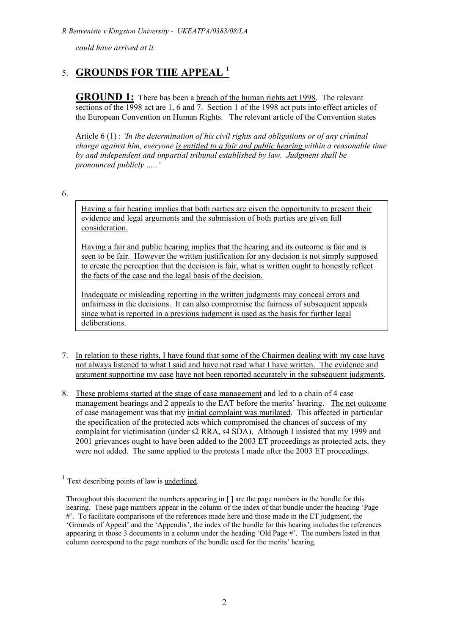*could have arrived at it.*

# 5. **GROUNDS FOR THE APPEAL <sup>1</sup>**

**GROUND 1:** There has been a <u>breach of the human rights act 1998</u>. The relevant sections of the 1998 act are 1, 6 and 7. Section 1 of the 1998 act puts into effect articles of the European Convention on Human Rights. The relevant article of the Convention states

Article 6 (1) : *'In the determination of his civil rights and obligations or of any criminal charge against him, everyone is entitled to a fair and public hearing within a reasonable time by and independent and impartial tribunal established by law. Judgment shall be pronounced publicly …..'*

6.

Having a fair hearing implies that both parties are given the opportunity to present their evidence and legal arguments and the submission of both parties are given full consideration.

Having a fair and public hearing implies that the hearing and its outcome is fair and is seen to be fair. However the written justification for any decision is not simply supposed to create the perception that the decision is fair, what is written ought to honestly reflect the facts of the case and the legal basis of the decision.

Inadequate or misleading reporting in the written judgments may conceal errors and unfairness in the decisions. It can also compromise the fairness of subsequent appeals since what is reported in a previous judgment is used as the basis for further legal deliberations.

- 7. In relation to these rights, I have found that some of the Chairmen dealing with my case have not always listened to what I said and have not read what I have written. The evidence and argument supporting my case have not been reported accurately in the subsequent judgments.
- 8. These problems started at the stage of case management and led to a chain of 4 case management hearings and 2 appeals to the EAT before the merits' hearing. The net outcome of case management was that my initial complaint was mutilated. This affected in particular the specification of the protected acts which compromised the chances of success of my complaint for victimisation (under s2 RRA, s4 SDA). Although I insisted that my 1999 and 2001 grievances ought to have been added to the 2003 ET proceedings as protected acts, they were not added. The same applied to the protests I made after the 2003 ET proceedings.

 $1$  Text describing points of law is <u>underlined</u>.

Throughout this document the numbers appearing in [ ] are the page numbers in the bundle for this hearing. These page numbers appear in the column of the index of that bundle under the heading 'Page #'. To facilitate comparisons of the references made here and those made in the ET judgment, the 'Grounds of Appeal' and the 'Appendix', the index of the bundle for this hearing includes the references appearing in those 3 documents in a column under the heading 'Old Page #'. The numbers listed in that column correspond to the page numbers of the bundle used for the merits' hearing.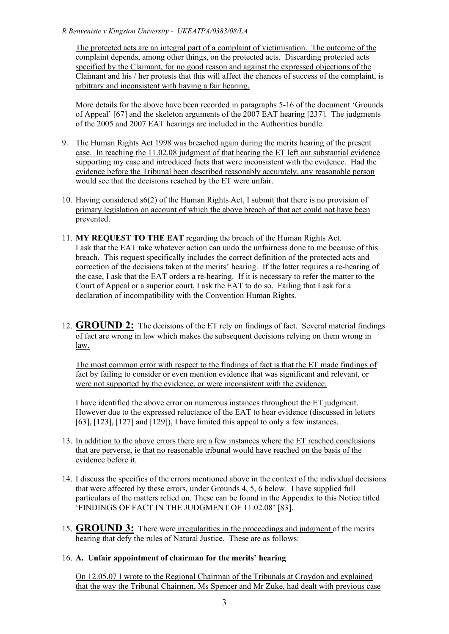The protected acts are an integral part of a complaint of victimisation. The outcome of the complaint depends, among other things, on the protected acts. Discarding protected acts specified by the Claimant, for no good reason and against the expressed objections of the Claimant and his / her protests that this will affect the chances of success of the complaint, is arbitrary and inconsistent with having a fair hearing.

More details for the above have been recorded in paragraphs 5-16 of the document 'Grounds of Appeal' [67] and the skeleton arguments of the 2007 EAT hearing [237]. The judgments of the 2005 and 2007 EAT hearings are included in the Authorities bundle.

- 9. The Human Rights Act 1998 was breached again during the merits hearing of the present case. In reaching the 11.02.08 judgment of that hearing the ET left out substantial evidence supporting my case and introduced facts that were inconsistent with the evidence. Had the evidence before the Tribunal been described reasonably accurately, any reasonable person would see that the decisions reached by the ET were unfair.
- 10. Having considered s6(2) of the Human Rights Act, I submit that there is no provision of primary legislation on account of which the above breach of that act could not have been prevented.
- 11. **MY REQUEST TO THE EAT** regarding the breach of the Human Rights Act. I ask that the EAT take whatever action can undo the unfairness done to me because of this breach. This request specifically includes the correct definition of the protected acts and correction of the decisions taken at the merits' hearing. If the latter requires a re-hearing of the case, I ask that the EAT orders a re-hearing. If it is necessary to refer the matter to the Court of Appeal or a superior court, I ask the EAT to do so. Failing that I ask for a declaration of incompatibility with the Convention Human Rights.
- 12. **GROUND 2:** The decisions of the ET rely on findings of fact. Several material findings of fact are wrong in law which makes the subsequent decisions relying on them wrong in law.

The most common error with respect to the findings of fact is that the ET made findings of fact by failing to consider or even mention evidence that was significant and relevant, or were not supported by the evidence, or were inconsistent with the evidence.

I have identified the above error on numerous instances throughout the ET judgment. However due to the expressed reluctance of the EAT to hear evidence (discussed in letters [63], [123], [127] and [129]), I have limited this appeal to only a few instances.

- 13. In addition to the above errors there are a few instances where the ET reached conclusions that are perverse, ie that no reasonable tribunal would have reached on the basis of the evidence before it.
- 14. I discuss the specifics of the errors mentioned above in the context of the individual decisions that were affected by these errors, under Grounds 4, 5, 6 below. I have supplied full particulars of the matters relied on. These can be found in the Appendix to this Notice titled 'FINDINGS OF FACT IN THE JUDGMENT OF 11.02.08' [83].
- 15. **GROUND 3:** There were irregularities in the proceedings and judgment of the merits hearing that defy the rules of Natural Justice. These are as follows:

# 16. **A. Unfair appointment of chairman for the merits' hearing**

On 12.05.07 I wrote to the Regional Chairman of the Tribunals at Croydon and explained that the way the Tribunal Chairmen, Ms Spencer and Mr Zuke, had dealt with previous case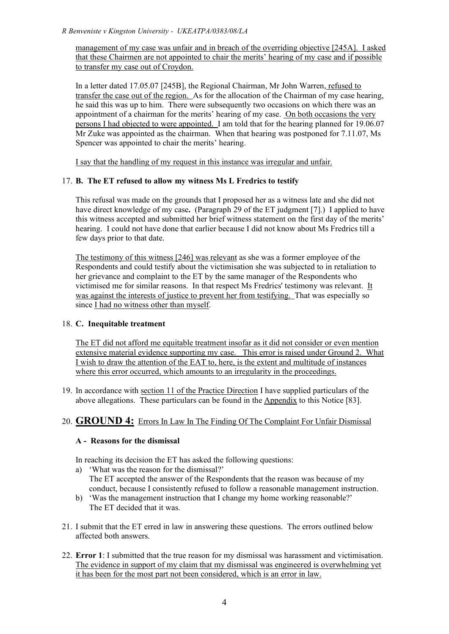management of my case was unfair and in breach of the overriding objective [245A]. I asked that these Chairmen are not appointed to chair the merits' hearing of my case and if possible to transfer my case out of Croydon.

In a letter dated 17.05.07 [245B], the Regional Chairman, Mr John Warren, refused to transfer the case out of the region. As for the allocation of the Chairman of my case hearing, he said this was up to him. There were subsequently two occasions on which there was an appointment of a chairman for the merits' hearing of my case. On both occasions the very persons I had objected to were appointed. I am told that for the hearing planned for 19.06.07 Mr Zuke was appointed as the chairman. When that hearing was postponed for 7.11.07, Ms Spencer was appointed to chair the merits' hearing.

I say that the handling of my request in this instance was irregular and unfair.

# 17. **B. The ET refused to allow my witness Ms L Fredrics to testify**

This refusal was made on the grounds that I proposed her as a witness late and she did not have direct knowledge of my case**.** (Paragraph 29 of the ET judgment [7].) I applied to have this witness accepted and submitted her brief witness statement on the first day of the merits' hearing. I could not have done that earlier because I did not know about Ms Fredrics till a few days prior to that date.

The testimony of this witness [246] was relevant as she was a former employee of the Respondents and could testify about the victimisation she was subjected to in retaliation to her grievance and complaint to the ET by the same manager of the Respondents who victimised me for similar reasons. In that respect Ms Fredrics' testimony was relevant. It was against the interests of justice to prevent her from testifying. That was especially so since I had no witness other than myself.

# 18. **C. Inequitable treatment**

The ET did not afford me equitable treatment insofar as it did not consider or even mention extensive material evidence supporting my case. This error is raised under Ground 2. What I wish to draw the attention of the EAT to, here, is the extent and multitude of instances where this error occurred, which amounts to an irregularity in the proceedings.

19. In accordance with section 11 of the Practice Direction I have supplied particulars of the above allegations. These particulars can be found in the Appendix to this Notice [83].

# 20. **GROUND 4:** Errors In Law In The Finding Of The Complaint For Unfair Dismissal

# **A - Reasons for the dismissal**

In reaching its decision the ET has asked the following questions:

- a) 'What was the reason for the dismissal?' The ET accepted the answer of the Respondents that the reason was because of my conduct, because I consistently refused to follow a reasonable management instruction.
- b) 'Was the management instruction that I change my home working reasonable?' The ET decided that it was.
- 21. I submit that the ET erred in law in answering these questions. The errors outlined below affected both answers.
- 22. **Error 1**: I submitted that the true reason for my dismissal was harassment and victimisation. The evidence in support of my claim that my dismissal was engineered is overwhelming yet it has been for the most part not been considered, which is an error in law.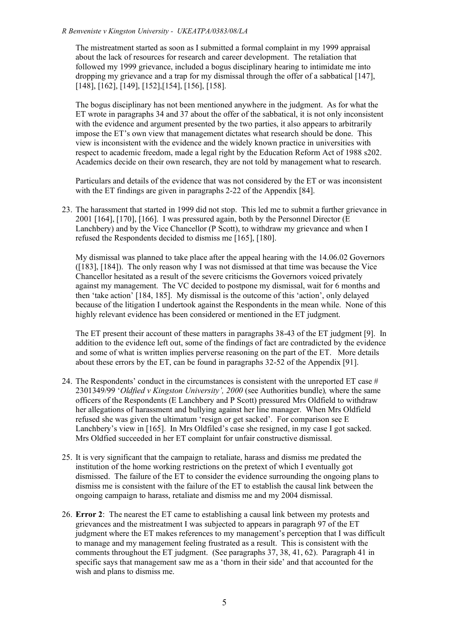The mistreatment started as soon as I submitted a formal complaint in my 1999 appraisal about the lack of resources for research and career development. The retaliation that followed my 1999 grievance, included a bogus disciplinary hearing to intimidate me into dropping my grievance and a trap for my dismissal through the offer of a sabbatical [147], [148], [162], [149], [152],[154], [156], [158].

The bogus disciplinary has not been mentioned anywhere in the judgment. As for what the ET wrote in paragraphs 34 and 37 about the offer of the sabbatical, it is not only inconsistent with the evidence and argument presented by the two parties, it also appears to arbitrarily impose the ET's own view that management dictates what research should be done. This view is inconsistent with the evidence and the widely known practice in universities with respect to academic freedom, made a legal right by the Education Reform Act of 1988 s202. Academics decide on their own research, they are not told by management what to research.

Particulars and details of the evidence that was not considered by the ET or was inconsistent with the ET findings are given in paragraphs 2-22 of the Appendix [84].

23. The harassment that started in 1999 did not stop. This led me to submit a further grievance in 2001 [164], [170], [166]. I was pressured again, both by the Personnel Director (E Lanchbery) and by the Vice Chancellor (P Scott), to withdraw my grievance and when I refused the Respondents decided to dismiss me [165], [180].

My dismissal was planned to take place after the appeal hearing with the 14.06.02 Governors ([183], [184]). The only reason why I was not dismissed at that time was because the Vice Chancellor hesitated as a result of the severe criticisms the Governors voiced privately against my management. The VC decided to postpone my dismissal, wait for 6 months and then 'take action' [184, 185]. My dismissal is the outcome of this 'action', only delayed because of the litigation I undertook against the Respondents in the mean while. None of this highly relevant evidence has been considered or mentioned in the ET judgment.

The ET present their account of these matters in paragraphs 38-43 of the ET judgment [9]. In addition to the evidence left out, some of the findings of fact are contradicted by the evidence and some of what is written implies perverse reasoning on the part of the ET. More details about these errors by the ET, can be found in paragraphs 32-52 of the Appendix [91].

- 24. The Respondents' conduct in the circumstances is consistent with the unreported ET case # 2301349/99 '*Oldfied v Kingston University', 2000* (see Authorities bundle)*,* where the same officers of the Respondents (E Lanchbery and P Scott) pressured Mrs Oldfield to withdraw her allegations of harassment and bullying against her line manager. When Mrs Oldfield refused she was given the ultimatum 'resign or get sacked'. For comparison see E Lanchbery's view in [165]. In Mrs Oldfiled's case she resigned, in my case I got sacked. Mrs Oldfied succeeded in her ET complaint for unfair constructive dismissal.
- 25. It is very significant that the campaign to retaliate, harass and dismiss me predated the institution of the home working restrictions on the pretext of which I eventually got dismissed. The failure of the ET to consider the evidence surrounding the ongoing plans to dismiss me is consistent with the failure of the ET to establish the causal link between the ongoing campaign to harass, retaliate and dismiss me and my 2004 dismissal.
- 26. **Error 2**: The nearest the ET came to establishing a causal link between my protests and grievances and the mistreatment I was subjected to appears in paragraph 97 of the ET judgment where the ET makes references to my management's perception that I was difficult to manage and my management feeling frustrated as a result. This is consistent with the comments throughout the ET judgment. (See paragraphs 37, 38, 41, 62). Paragraph 41 in specific says that management saw me as a 'thorn in their side' and that accounted for the wish and plans to dismiss me.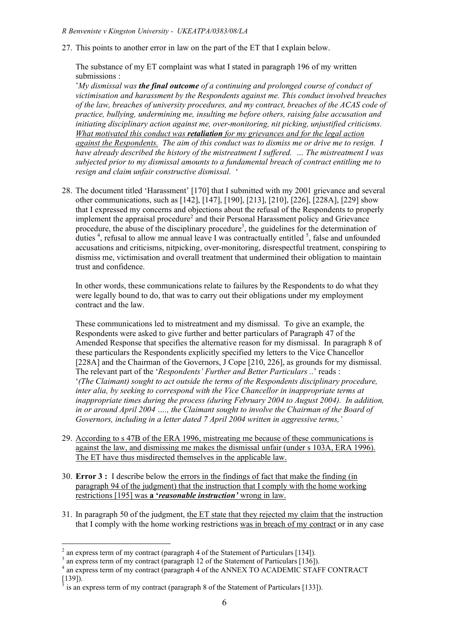27. This points to another error in law on the part of the ET that I explain below.

The substance of my ET complaint was what I stated in paragraph 196 of my written submissions :

'*My dismissal was the final outcome of a continuing and prolonged course of conduct of victimisation and harassment by the Respondents against me. This conduct involved breaches of the law, breaches of university procedures, and my contract, breaches of the ACAS code of practice, bullying, undermining me, insulting me before others, raising false accusation and initiating disciplinary action against me, over-monitoring, nit picking, unjustified criticisms. What motivated this conduct was retaliation for my grievances and for the legal action against the Respondents. The aim of this conduct was to dismiss me or drive me to resign. I have already described the history of the mistreatment I suffered. … The mistreatment I was subjected prior to my dismissal amounts to a fundamental breach of contract entitling me to resign and claim unfair constructive dismissal.* '

28. The document titled 'Harassment' [170] that I submitted with my 2001 grievance and several other communications, such as [142], [147], [190], [213], [210], [226], [228A], [229] show that I expressed my concerns and objections about the refusal of the Respondents to properly implement the appraisal procedure<sup>2</sup> and their Personal Harassment policy and Grievance procedure, the abuse of the disciplinary procedure<sup>3</sup>, the guidelines for the determination of duties<sup>4</sup>, refusal to allow me annual leave I was contractually entitled  $\frac{5}{2}$ , false and unfounded accusations and criticisms, nitpicking, over-monitoring, disrespectful treatment, conspiring to dismiss me, victimisation and overall treatment that undermined their obligation to maintain trust and confidence.

In other words, these communications relate to failures by the Respondents to do what they were legally bound to do, that was to carry out their obligations under my employment contract and the law.

These communications led to mistreatment and my dismissal. To give an example, the Respondents were asked to give further and better particulars of Paragraph 47 of the Amended Response that specifies the alternative reason for my dismissal. In paragraph 8 of these particulars the Respondents explicitly specified my letters to the Vice Chancellor [228A] and the Chairman of the Governors, J Cope [210, 226], as grounds for my dismissal. The relevant part of the '*Respondents' Further and Better Particulars ..*' reads : '*(The Claimant) sought to act outside the terms of the Respondents disciplinary procedure, inter alia, by seeking to correspond with the Vice Chancellor in inappropriate terms at inappropriate times during the process (during February 2004 to August 2004). In addition, in or around April 2004 …., the Claimant sought to involve the Chairman of the Board of Governors, including in a letter dated 7 April 2004 written in aggressive terms,'*

- 29. According to s 47B of the ERA 1996, mistreating me because of these communications is against the law, and dismissing me makes the dismissal unfair (under s 103A, ERA 1996). The ET have thus misdirected themselves in the applicable law.
- 30. **Error 3 :** I describe below the errors in the findings of fact that make the finding (in paragraph 94 of the judgment) that the instruction that I comply with the home working restrictions [195] was **a '***reasonable instruction'* wrong in law.
- 31. In paragraph 50 of the judgment, the ET state that they rejected my claim that the instruction that I comply with the home working restrictions was in breach of my contract or in any case

<sup>&</sup>lt;sup>2</sup> an express term of my contract (paragraph 4 of the Statement of Particulars [134]).<br><sup>3</sup> an express term of my contract (paragraph 12 of the Statement of Particulars [136]).<br><sup>4</sup> an express term of my contract (paragrap

is an express term of my contract (paragraph 8 of the Statement of Particulars [133]).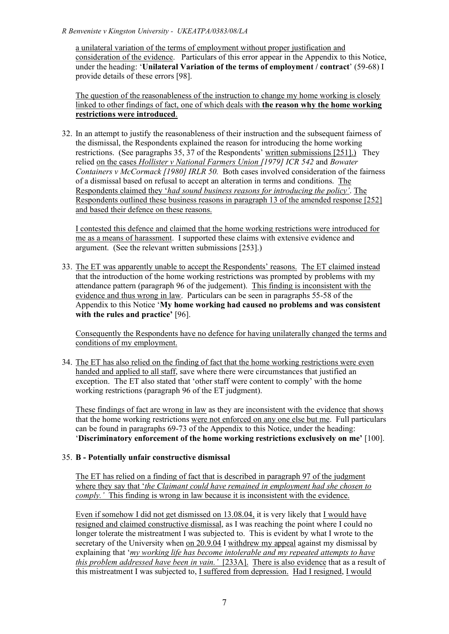a unilateral variation of the terms of employment without proper justification and consideration of the evidence. Particulars of this error appear in the Appendix to this Notice, under the heading: '**Unilateral Variation of the terms of employment / contract**' (59-68) I provide details of these errors [98].

The question of the reasonableness of the instruction to change my home working is closely linked to other findings of fact, one of which deals with **the reason why the home working restrictions were introduced**.

32. In an attempt to justify the reasonableness of their instruction and the subsequent fairness of the dismissal, the Respondents explained the reason for introducing the home working restrictions. (See paragraphs 35, 37 of the Respondents' written submissions [251].) They relied on the cases *Hollister v National Farmers Union [1979] ICR 542* and *Bowater Containers v McCormack [1980] IRLR 50.* Both cases involved consideration of the fairness of a dismissal based on refusal to accept an alteration in terms and conditions. The Respondents claimed they '*had sound business reasons for introducing the policy'*. The Respondents outlined these business reasons in paragraph 13 of the amended response [252] and based their defence on these reasons.

I contested this defence and claimed that the home working restrictions were introduced for me as a means of harassment. I supported these claims with extensive evidence and argument. (See the relevant written submissions [253].)

33. The ET was apparently unable to accept the Respondents' reasons. The ET claimed instead that the introduction of the home working restrictions was prompted by problems with my attendance pattern (paragraph 96 of the judgement). This finding is inconsistent with the evidence and thus wrong in law. Particulars can be seen in paragraphs 55-58 of the Appendix to this Notice '**My home working had caused no problems and was consistent with the rules and practice'** [96].

Consequently the Respondents have no defence for having unilaterally changed the terms and conditions of my employment.

34. The ET has also relied on the finding of fact that the home working restrictions were even handed and applied to all staff, save where there were circumstances that justified an exception. The ET also stated that 'other staff were content to comply' with the home working restrictions (paragraph 96 of the ET judgment).

These findings of fact are wrong in law as they are inconsistent with the evidence that shows that the home working restrictions were not enforced on any one else but me. Full particulars can be found in paragraphs 69-73 of the Appendix to this Notice, under the heading: '**Discriminatory enforcement of the home working restrictions exclusively on me'** [100].

# 35. **B - Potentially unfair constructive dismissal**

The ET has relied on a finding of fact that is described in paragraph 97 of the judgment where they say that '*the Claimant could have remained in employment had she chosen to comply.'* This finding is wrong in law because it is inconsistent with the evidence.

Even if somehow I did not get dismissed on  $13.08.04$ , it is very likely that I would have resigned and claimed constructive dismissal, as I was reaching the point where I could no longer tolerate the mistreatment I was subjected to. This is evident by what I wrote to the secretary of the University when on 20.9.04 I withdrew my appeal against my dismissal by explaining that '*my working life has become intolerable and my repeated attempts to have this problem addressed have been in vain.'* [233A]. There is also evidence that as a result of this mistreatment I was subjected to, I suffered from depression. Had I resigned, I would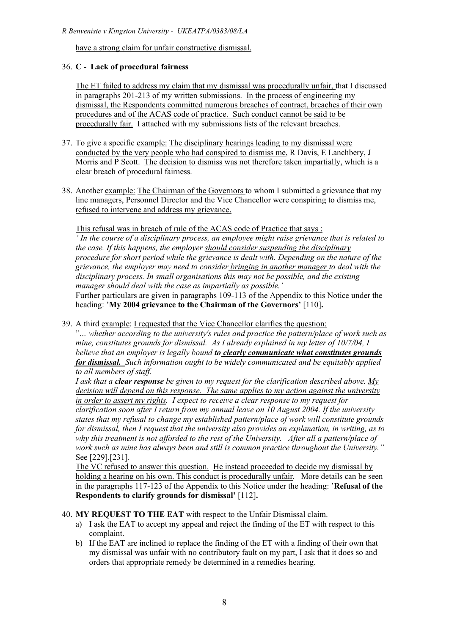have a strong claim for unfair constructive dismissal.

# 36. **C - Lack of procedural fairness**

The ET failed to address my claim that my dismissal was procedurally unfair, that I discussed in paragraphs 201-213 of my written submissions. In the process of engineering my dismissal, the Respondents committed numerous breaches of contract, breaches of their own procedures and of the ACAS code of practice. Such conduct cannot be said to be procedurally fair. I attached with my submissions lists of the relevant breaches.

- 37. To give a specific example: The disciplinary hearings leading to my dismissal were conducted by the very people who had conspired to dismiss me, R Davis, E Lanchbery, J Morris and P Scott. The decision to dismiss was not therefore taken impartially, which is a clear breach of procedural fairness.
- 38. Another example: The Chairman of the Governors to whom I submitted a grievance that my line managers, Personnel Director and the Vice Chancellor were conspiring to dismiss me, refused to intervene and address my grievance.

This refusal was in breach of rule of the ACAS code of Practice that says :

*' In the course of a disciplinary process, an employee might raise grievance that is related to the case. If this happens, the employer should consider suspending the disciplinary procedure for short period while the grievance is dealt with. Depending on the nature of the grievance, the employer may need to consider bringing in another manager to deal with the disciplinary process. In small organisations this may not be possible, and the existing manager should deal with the case as impartially as possible.'*

Further particulars are given in paragraphs 109-113 of the Appendix to this Notice under the heading: '**My 2004 grievance to the Chairman of the Governors'** [110]**.**

39. A third example: I requested that the Vice Chancellor clarifies the question:

"*… whether according to the university's rules and practice the pattern/place of work such as mine, constitutes grounds for dismissal. As I already explained in my letter of 10/7/04, I believe that an employer is legally bound to clearly communicate what constitutes grounds for dismissal. Such information ought to be widely communicated and be equitably applied to all members of staff.*

*I ask that a clear response be given to my request for the clarification described above. My decision will depend on this response. The same applies to my action against the university in order to assert my rights. I expect to receive a clear response to my request for clarification soon after I return from my annual leave on 10 August 2004. If the university states that my refusal to change my established pattern/place of work will constitute grounds for dismissal, then I request that the university also provides an explanation, in writing, as to why this treatment is not afforded to the rest of the University. After all a pattern/place of work such as mine has always been and still is common practice throughout the University."* See [229],[231].

The VC refused to answer this question. He instead proceeded to decide my dismissal by holding a hearing on his own. This conduct is procedurally unfair. More details can be seen in the paragraphs 117-123 of the Appendix to this Notice under the heading: '**Refusal of the Respondents to clarify grounds for dismissal'** [112]**.**

40. **MY REQUEST TO THE EAT** with respect to the Unfair Dismissal claim.

- a) I ask the EAT to accept my appeal and reject the finding of the ET with respect to this complaint.
- b) If the EAT are inclined to replace the finding of the ET with a finding of their own that my dismissal was unfair with no contributory fault on my part, I ask that it does so and orders that appropriate remedy be determined in a remedies hearing.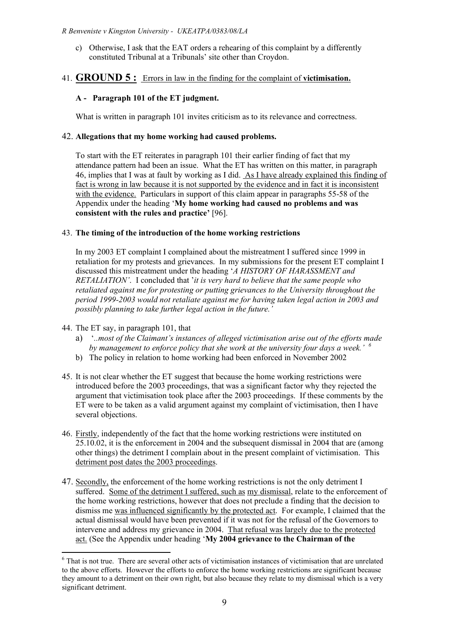c) Otherwise, I ask that the EAT orders a rehearing of this complaint by a differently constituted Tribunal at a Tribunals' site other than Croydon.

# 41. **GROUND 5 :** Errors in law in the finding for the complaint of **victimisation.**

# **A - Paragraph 101 of the ET judgment.**

What is written in paragraph 101 invites criticism as to its relevance and correctness.

## 42. **Allegations that my home working had caused problems.**

To start with the ET reiterates in paragraph 101 their earlier finding of fact that my attendance pattern had been an issue. What the ET has written on this matter, in paragraph 46, implies that I was at fault by working as I did. As I have already explained this finding of fact is wrong in law because it is not supported by the evidence and in fact it is inconsistent with the evidence. Particulars in support of this claim appear in paragraphs 55-58 of the Appendix under the heading '**My home working had caused no problems and was consistent with the rules and practice'** [96].

### 43. **The timing of the introduction of the home working restrictions**

In my 2003 ET complaint I complained about the mistreatment I suffered since 1999 in retaliation for my protests and grievances. In my submissions for the present ET complaint I discussed this mistreatment under the heading '*A HISTORY OF HARASSMENT and RETALIATION'*. I concluded that '*it is very hard to believe that the same people who retaliated against me for protesting or putting grievances to the University throughout the period 1999-2003 would not retaliate against me for having taken legal action in 2003 and possibly planning to take further legal action in the future.'*

- 44. The ET say, in paragraph 101, that
	- a) '*..most of the Claimant's instances of alleged victimisation arise out of the efforts made by management to enforce policy that she work at the university four days a week.' <sup>6</sup>*
	- b) The policy in relation to home working had been enforced in November 2002
- 45. It is not clear whether the ET suggest that because the home working restrictions were introduced before the 2003 proceedings, that was a significant factor why they rejected the argument that victimisation took place after the 2003 proceedings. If these comments by the ET were to be taken as a valid argument against my complaint of victimisation, then I have several objections.
- 46. Firstly, independently of the fact that the home working restrictions were instituted on 25.10.02, it is the enforcement in 2004 and the subsequent dismissal in 2004 that are (among other things) the detriment I complain about in the present complaint of victimisation. This detriment post dates the 2003 proceedings.
- 47. Secondly, the enforcement of the home working restrictions is not the only detriment I suffered. Some of the detriment I suffered, such as my dismissal, relate to the enforcement of the home working restrictions, however that does not preclude a finding that the decision to dismiss me was influenced significantly by the protected act. For example, I claimed that the actual dismissal would have been prevented if it was not for the refusal of the Governors to intervene and address my grievance in 2004. That refusal was largely due to the protected act. (See the Appendix under heading '**My 2004 grievance to the Chairman of the**

<sup>&</sup>lt;sup>6</sup> That is not true. There are several other acts of victimisation instances of victimisation that are unrelated to the above efforts. However the efforts to enforce the home working restrictions are significant because they amount to a detriment on their own right, but also because they relate to my dismissal which is a very significant detriment.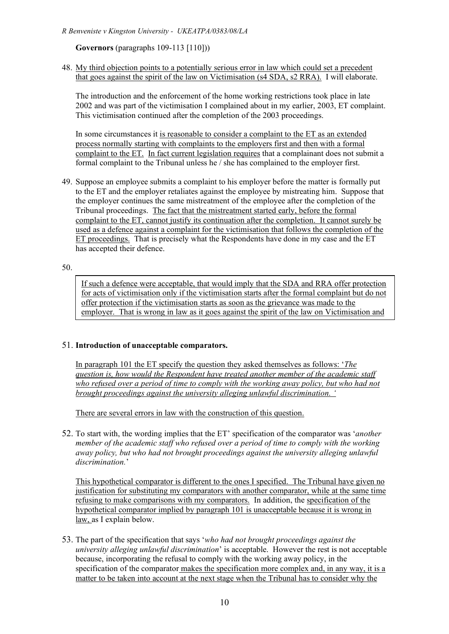## **Governors** (paragraphs 109-113 [110]))

#### 48. My third objection points to a potentially serious error in law which could set a precedent that goes against the spirit of the law on Victimisation (s4 SDA, s2 RRA). I will elaborate.

The introduction and the enforcement of the home working restrictions took place in late 2002 and was part of the victimisation I complained about in my earlier, 2003, ET complaint. This victimisation continued after the completion of the 2003 proceedings.

In some circumstances it is reasonable to consider a complaint to the ET as an extended process normally starting with complaints to the employers first and then with a formal complaint to the ET. In fact current legislation requires that a complainant does not submit a formal complaint to the Tribunal unless he / she has complained to the employer first.

49. Suppose an employee submits a complaint to his employer before the matter is formally put to the ET and the employer retaliates against the employee by mistreating him. Suppose that the employer continues the same mistreatment of the employee after the completion of the Tribunal proceedings. The fact that the mistreatment started early, before the formal complaint to the ET, cannot justify its continuation after the completion. It cannot surely be used as a defence against a complaint for the victimisation that follows the completion of the ET proceedings. That is precisely what the Respondents have done in my case and the ET has accepted their defence.

#### 50.

If such a defence were acceptable, that would imply that the SDA and RRA offer protection for acts of victimisation only if the victimisation starts after the formal complaint but do not offer protection if the victimisation starts as soon as the grievance was made to the employer. That is wrong in law as it goes against the spirit of the law on Victimisation and

#### 51. **Introduction of unacceptable comparators.**

the related EEC directives.

In paragraph 101 the ET specify the question they asked themselves as follows: '*The question is, how would the Respondent have treated another member of the academic staff who refused over a period of time to comply with the working away policy, but who had not brought proceedings against the university alleging unlawful discrimination. '*

There are several errors in law with the construction of this question.

52. To start with, the wording implies that the ET' specification of the comparator was '*another member of the academic staff who refused over a period of time to comply with the working away policy, but who had not brought proceedings against the university alleging unlawful discrimination.*'

This hypothetical comparator is different to the ones I specified. The Tribunal have given no justification for substituting my comparators with another comparator, while at the same time refusing to make comparisons with my comparators. In addition, the specification of the hypothetical comparator implied by paragraph 101 is unacceptable because it is wrong in law, as I explain below.

53. The part of the specification that says '*who had not brought proceedings against the university alleging unlawful discrimination*' is acceptable. However the rest is not acceptable because, incorporating the refusal to comply with the working away policy, in the specification of the comparator makes the specification more complex and, in any way, it is a matter to be taken into account at the next stage when the Tribunal has to consider why the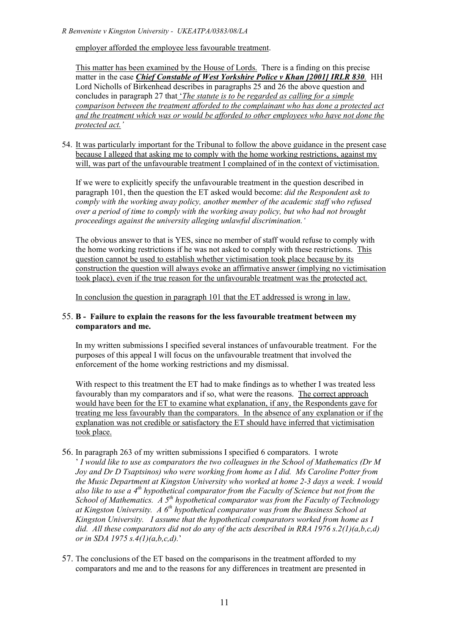employer afforded the employee less favourable treatment.

This matter has been examined by the House of Lords. There is a finding on this precise matter in the case *Chief Constable of West Yorkshire Police v Khan [2001] IRLR 830.* HH Lord Nicholls of Birkenhead describes in paragraphs 25 and 26 the above question and concludes in paragraph 27 that '*The statute is to be regarded as calling for a simple comparison between the treatment afforded to the complainant who has done a protected act and the treatment which was or would be afforded to other employees who have not done the protected act.'*

54. It was particularly important for the Tribunal to follow the above guidance in the present case because I alleged that asking me to comply with the home working restrictions, against my will, was part of the unfavourable treatment I complained of in the context of victimisation.

If we were to explicitly specify the unfavourable treatment in the question described in paragraph 101, then the question the ET asked would become: *did the Respondent ask to comply with the working away policy, another member of the academic staff who refused over a period of time to comply with the working away policy, but who had not brought proceedings against the university alleging unlawful discrimination.'*

The obvious answer to that is YES, since no member of staff would refuse to comply with the home working restrictions if he was not asked to comply with these restrictions. This question cannot be used to establish whether victimisation took place because by its construction the question will always evoke an affirmative answer (implying no victimisation took place), even if the true reason for the unfavourable treatment was the protected act*.*

In conclusion the question in paragraph 101 that the ET addressed is wrong in law.

### 55. **B - Failure to explain the reasons for the less favourable treatment between my comparators and me.**

In my written submissions I specified several instances of unfavourable treatment. For the purposes of this appeal I will focus on the unfavourable treatment that involved the enforcement of the home working restrictions and my dismissal.

With respect to this treatment the ET had to make findings as to whether I was treated less favourably than my comparators and if so, what were the reasons. The correct approach would have been for the ET to examine what explanation, if any, the Respondents gave for treating me less favourably than the comparators. In the absence of any explanation or if the explanation was not credible or satisfactory the ET should have inferred that victimisation took place.

56. In paragraph 263 of my written submissions I specified 6 comparators. I wrote

' *I would like to use as comparators the two colleagues in the School of Mathematics (Dr M Joy and Dr D Tsaptsinos) who were working from home as I did. Ms Caroline Potter from the Music Department at Kingston University who worked at home 2-3 days a week. I would also like to use a 4th hypothetical comparator from the Faculty of Science but not from the School of Mathematics. A 5th hypothetical comparator was from the Faculty of Technology at Kingston University. A 6th hypothetical comparator was from the Business School at Kingston University. I assume that the hypothetical comparators worked from home as I did. All these comparators did not do any of the acts described in RRA 1976 s.2(1)(a,b,c,d) or in SDA 1975 s.4(1)(a,b,c,d).*'

57. The conclusions of the ET based on the comparisons in the treatment afforded to my comparators and me and to the reasons for any differences in treatment are presented in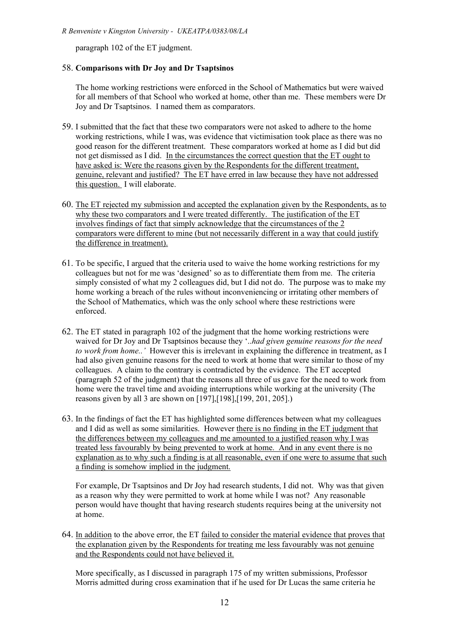paragraph 102 of the ET judgment.

## 58. **Comparisons with Dr Joy and Dr Tsaptsinos**

The home working restrictions were enforced in the School of Mathematics but were waived for all members of that School who worked at home, other than me. These members were Dr Joy and Dr Tsaptsinos. I named them as comparators.

- 59. I submitted that the fact that these two comparators were not asked to adhere to the home working restrictions, while I was, was evidence that victimisation took place as there was no good reason for the different treatment. These comparators worked at home as I did but did not get dismissed as I did. In the circumstances the correct question that the ET ought to have asked is: Were the reasons given by the Respondents for the different treatment, genuine, relevant and justified? The ET have erred in law because they have not addressed this question. I will elaborate.
- 60. The ET rejected my submission and accepted the explanation given by the Respondents, as to why these two comparators and I were treated differently. The justification of the ET involves findings of fact that simply acknowledge that the circumstances of the 2 comparators were different to mine (but not necessarily different in a way that could justify the difference in treatment).
- 61. To be specific, I argued that the criteria used to waive the home working restrictions for my colleagues but not for me was 'designed' so as to differentiate them from me. The criteria simply consisted of what my 2 colleagues did, but I did not do. The purpose was to make my home working a breach of the rules without inconveniencing or irritating other members of the School of Mathematics, which was the only school where these restrictions were enforced.
- 62. The ET stated in paragraph 102 of the judgment that the home working restrictions were waived for Dr Joy and Dr Tsaptsinos because they '..*had given genuine reasons for the need to work from home..'* However this is irrelevant in explaining the difference in treatment, as I had also given genuine reasons for the need to work at home that were similar to those of my colleagues. A claim to the contrary is contradicted by the evidence. The ET accepted (paragraph 52 of the judgment) that the reasons all three of us gave for the need to work from home were the travel time and avoiding interruptions while working at the university (The reasons given by all 3 are shown on [197],[198],[199, 201, 205].)
- 63. In the findings of fact the ET has highlighted some differences between what my colleagues and I did as well as some similarities. However there is no finding in the ET judgment that the differences between my colleagues and me amounted to a justified reason why I was treated less favourably by being prevented to work at home. And in any event there is no explanation as to why such a finding is at all reasonable, even if one were to assume that such a finding is somehow implied in the judgment.

For example, Dr Tsaptsinos and Dr Joy had research students, I did not. Why was that given as a reason why they were permitted to work at home while I was not? Any reasonable person would have thought that having research students requires being at the university not at home.

64. In addition to the above error, the ET failed to consider the material evidence that proves that the explanation given by the Respondents for treating me less favourably was not genuine and the Respondents could not have believed it.

More specifically, as I discussed in paragraph 175 of my written submissions, Professor Morris admitted during cross examination that if he used for Dr Lucas the same criteria he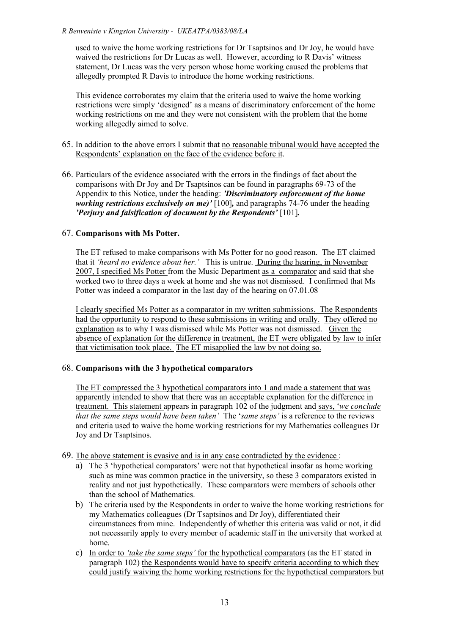used to waive the home working restrictions for Dr Tsaptsinos and Dr Joy, he would have waived the restrictions for Dr Lucas as well. However, according to R Davis' witness statement, Dr Lucas was the very person whose home working caused the problems that allegedly prompted R Davis to introduce the home working restrictions.

This evidence corroborates my claim that the criteria used to waive the home working restrictions were simply 'designed' as a means of discriminatory enforcement of the home working restrictions on me and they were not consistent with the problem that the home working allegedly aimed to solve.

- 65. In addition to the above errors I submit that no reasonable tribunal would have accepted the Respondents' explanation on the face of the evidence before it.
- 66. Particulars of the evidence associated with the errors in the findings of fact about the comparisons with Dr Joy and Dr Tsaptsinos can be found in paragraphs 69-73 of the Appendix to this Notice, under the heading: *'Discriminatory enforcement of the home working restrictions exclusively on me)'* [100]*,* and paragraphs 74-76 under the heading *'Perjury and falsification of document by the Respondents'* [101]*.*

# 67. **Comparisons with Ms Potter.**

The ET refused to make comparisons with Ms Potter for no good reason. The ET claimed that it *'heard no evidence about her.'* This is untrue. During the hearing, in November 2007, I specified Ms Potter from the Music Department as a comparator and said that she worked two to three days a week at home and she was not dismissed. I confirmed that Ms Potter was indeed a comparator in the last day of the hearing on 07.01.08

I clearly specified Ms Potter as a comparator in my written submissions. The Respondents had the opportunity to respond to these submissions in writing and orally. They offered no explanation as to why I was dismissed while Ms Potter was not dismissed. Given the absence of explanation for the difference in treatment, the ET were obligated by law to infer that victimisation took place. The ET misapplied the law by not doing so.

# 68. **Comparisons with the 3 hypothetical comparators**

The ET compressed the 3 hypothetical comparators into 1 and made a statement that was apparently intended to show that there was an acceptable explanation for the difference in treatment. This statement appears in paragraph 102 of the judgment and says, '*we conclude that the same steps would have been taken'* The '*same steps'* is a reference to the reviews and criteria used to waive the home working restrictions for my Mathematics colleagues Dr Joy and Dr Tsaptsinos.

- 69. The above statement is evasive and is in any case contradicted by the evidence :
	- a) The 3 'hypothetical comparators' were not that hypothetical insofar as home working such as mine was common practice in the university, so these 3 comparators existed in reality and not just hypothetically. These comparators were members of schools other than the school of Mathematics.
	- b) The criteria used by the Respondents in order to waive the home working restrictions for my Mathematics colleagues (Dr Tsaptsinos and Dr Joy), differentiated their circumstances from mine. Independently of whether this criteria was valid or not, it did not necessarily apply to every member of academic staff in the university that worked at home.
	- c) In order to *'take the same steps'* for the hypothetical comparators (as the ET stated in paragraph 102) the Respondents would have to specify criteria according to which they could justify waiving the home working restrictions for the hypothetical comparators but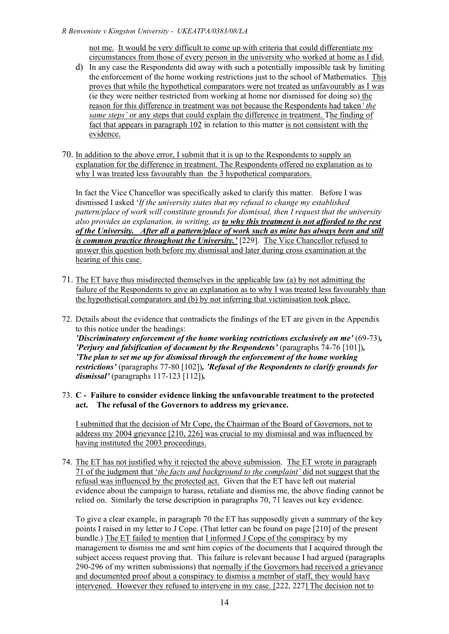not me. It would be very difficult to come up with criteria that could differentiate my circumstances from those of every person in the university who worked at home as I did.

- d) In any case the Respondents did away with such a potentially impossible task by limiting the enforcement of the home working restrictions just to the school of Mathematics. This proves that while the hypothetical comparators were not treated as unfavourably as I was (ie they were neither restricted from working at home nor dismissed for doing so) the reason for this difference in treatment was not because the Respondents had taken*' the same steps'* or any steps that could explain the difference in treatment. The finding of fact that appears in paragraph 102 in relation to this matter is not consistent with the evidence.
- 70. In addition to the above error, I submit that it is up to the Respondents to supply an explanation for the difference in treatment. The Respondents offered no explanation as to why I was treated less favourably than the 3 hypothetical comparators.

In fact the Vice Chancellor was specifically asked to clarify this matter. Before I was dismissed I asked '*If the university states that my refusal to change my established pattern/place of work will constitute grounds for dismissal, then I request that the university also provides an explanation, in writing, as to why this treatment is not afforded to the rest of the University. After all a pattern/place of work such as mine has always been and still is common practice throughout the University.'* [229]. The Vice Chancellor refused to answer this question both before my dismissal and later during cross examination at the hearing of this case.

- 71. The ET have thus misdirected themselves in the applicable law (a) by not admitting the failure of the Respondents to give an explanation as to why I was treated less favourably than the hypothetical comparators and (b) by not inferring that victimisation took place.
- 72. Details about the evidence that contradicts the findings of the ET are given in the Appendix to this notice under the headings: *'Discriminatory enforcement of the home working restrictions exclusively on me'* (69-73)*, 'Perjury and falsification of document by the Respondents'* (paragraphs 74-76 [101])*, 'The plan to set me up for dismissal through the enforcement of the home working restrictions'* (paragraphs 77-80 [102])*, 'Refusal of the Respondents to clarify grounds for dismissal'* (paragraphs 117-123 [112])*.*
- 73. **C - Failure to consider evidence linking the unfavourable treatment to the protected act. The refusal of the Governors to address my grievance.**

I submitted that the decision of Mr Cope, the Chairman of the Board of Governors, not to address my 2004 grievance [210, 226] was crucial to my dismissal and was influenced by having instituted the 2003 proceedings.

74. The ET has not justified why it rejected the above submission. The ET wrote in paragraph 71 of the judgment that '*the facts and background to the complaint'* did not suggest that the refusal was influenced by the protected act. Given that the ET have left out material evidence about the campaign to harass, retaliate and dismiss me, the above finding cannot be relied on. Similarly the terse description in paragraphs 70, 71 leaves out key evidence.

To give a clear example, in paragraph 70 the ET has supposedly given a summary of the key points I raised in my letter to J Cope. (That letter can be found on page [210] of the present bundle.) The ET failed to mention that I informed J Cope of the conspiracy by my management to dismiss me and sent him copies of the documents that I acquired through the subject access request proving that. This failure is relevant because I had argued (paragraphs 290-296 of my written submissions) that normally if the Governors had received a grievance and documented proof about a conspiracy to dismiss a member of staff, they would have intervened. However they refused to intervene in my case. [222, 227] The decision not to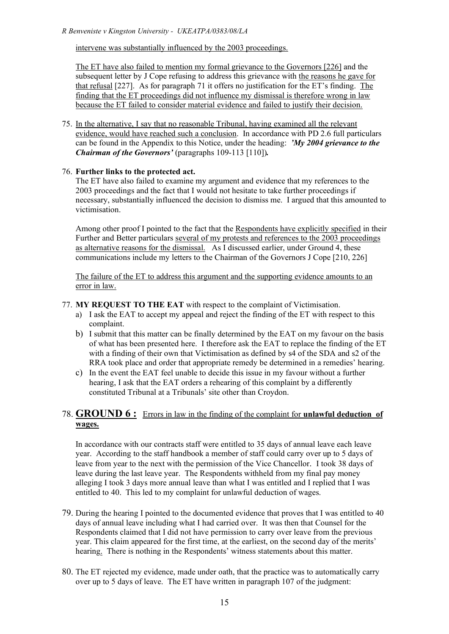intervene was substantially influenced by the 2003 proceedings.

The ET have also failed to mention my formal grievance to the Governors [226] and the subsequent letter by J Cope refusing to address this grievance with the reasons he gave for that refusal [227]. As for paragraph 71 it offers no justification for the ET's finding. The finding that the ET proceedings did not influence my dismissal is therefore wrong in law because the ET failed to consider material evidence and failed to justify their decision.

75. In the alternative, I say that no reasonable Tribunal, having examined all the relevant evidence, would have reached such a conclusion. In accordance with PD 2.6 full particulars can be found in the Appendix to this Notice, under the heading: *'My 2004 grievance to the Chairman of the Governors'* (paragraphs 109-113 [110])*.*

### 76. **Further links to the protected act.**

The ET have also failed to examine my argument and evidence that my references to the 2003 proceedings and the fact that I would not hesitate to take further proceedings if necessary, substantially influenced the decision to dismiss me. I argued that this amounted to victimisation.

Among other proof I pointed to the fact that the Respondents have explicitly specified in their Further and Better particulars several of my protests and references to the 2003 proceedings as alternative reasons for the dismissal. As I discussed earlier, under Ground 4, these communications include my letters to the Chairman of the Governors J Cope [210, 226]

The failure of the ET to address this argument and the supporting evidence amounts to an error in law.

### 77. **MY REQUEST TO THE EAT** with respect to the complaint of Victimisation.

- a) I ask the EAT to accept my appeal and reject the finding of the ET with respect to this complaint.
- b) I submit that this matter can be finally determined by the EAT on my favour on the basis of what has been presented here. I therefore ask the EAT to replace the finding of the ET with a finding of their own that Victimisation as defined by s4 of the SDA and s2 of the RRA took place and order that appropriate remedy be determined in a remedies' hearing.
- c) In the event the EAT feel unable to decide this issue in my favour without a further hearing, I ask that the EAT orders a rehearing of this complaint by a differently constituted Tribunal at a Tribunals' site other than Croydon.

# 78. **GROUND 6 :** Errors in law in the finding of the complaint for **unlawful deduction of wages.**

In accordance with our contracts staff were entitled to 35 days of annual leave each leave year. According to the staff handbook a member of staff could carry over up to 5 days of leave from year to the next with the permission of the Vice Chancellor. I took 38 days of leave during the last leave year. The Respondents withheld from my final pay money alleging I took 3 days more annual leave than what I was entitled and I replied that I was entitled to 40. This led to my complaint for unlawful deduction of wages.

- 79. During the hearing I pointed to the documented evidence that proves that I was entitled to 40 days of annual leave including what I had carried over. It was then that Counsel for the Respondents claimed that I did not have permission to carry over leave from the previous year. This claim appeared for the first time, at the earliest, on the second day of the merits' hearing. There is nothing in the Respondents' witness statements about this matter.
- 80. The ET rejected my evidence, made under oath, that the practice was to automatically carry over up to 5 days of leave. The ET have written in paragraph 107 of the judgment: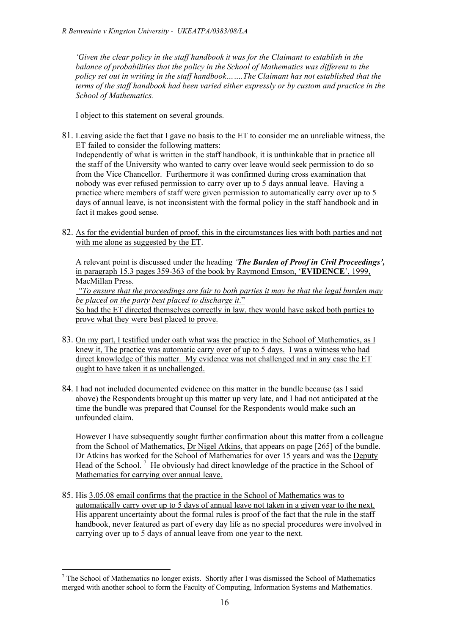*'Given the clear policy in the staff handbook it was for the Claimant to establish in the balance of probabilities that the policy in the School of Mathematics was different to the policy set out in writing in the staff handbook…….The Claimant has not established that the terms of the staff handbook had been varied either expressly or by custom and practice in the School of Mathematics.*

I object to this statement on several grounds.

- 81. Leaving aside the fact that I gave no basis to the ET to consider me an unreliable witness, the ET failed to consider the following matters: Independently of what is written in the staff handbook, it is unthinkable that in practice all the staff of the University who wanted to carry over leave would seek permission to do so from the Vice Chancellor. Furthermore it was confirmed during cross examination that nobody was ever refused permission to carry over up to 5 days annual leave. Having a practice where members of staff were given permission to automatically carry over up to 5 days of annual leave, is not inconsistent with the formal policy in the staff handbook and in fact it makes good sense.
- 82. As for the evidential burden of proof, this in the circumstances lies with both parties and not with me alone as suggested by the ET.

A relevant point is discussed under the heading *'The Burden of Proof in Civil Proceedings',* in paragraph 15.3 pages 359-363 of the book by Raymond Emson, '**EVIDENCE**', 1999, MacMillan Press.

*"To ensure that the proceedings are fair to both parties it may be that the legal burden may be placed on the party best placed to discharge it*."

So had the ET directed themselves correctly in law, they would have asked both parties to prove what they were best placed to prove.

- 83. On my part, I testified under oath what was the practice in the School of Mathematics, as I knew it, The practice was automatic carry over of up to 5 days. I was a witness who had direct knowledge of this matter. My evidence was not challenged and in any case the ET ought to have taken it as unchallenged.
- 84. I had not included documented evidence on this matter in the bundle because (as I said above) the Respondents brought up this matter up very late, and I had not anticipated at the time the bundle was prepared that Counsel for the Respondents would make such an unfounded claim.

However I have subsequently sought further confirmation about this matter from a colleague from the School of Mathematics, Dr Nigel Atkins, that appears on page [265] of the bundle. Dr Atkins has worked for the School of Mathematics for over 15 years and was the Deputy Head of the School.<sup>7</sup> He obviously had direct knowledge of the practice in the School of Mathematics for carrying over annual leave.

85. His 3.05.08 email confirms that the practice in the School of Mathematics was to automatically carry over up to 5 days of annual leave not taken in a given year to the next. His apparent uncertainty about the formal rules is proof of the fact that the rule in the staff handbook, never featured as part of every day life as no special procedures were involved in carrying over up to 5 days of annual leave from one year to the next.

 <sup>7</sup> The School of Mathematics no longer exists. Shortly after <sup>I</sup> was dismissed the School of Mathematics merged with another school to form the Faculty of Computing, Information Systems and Mathematics.